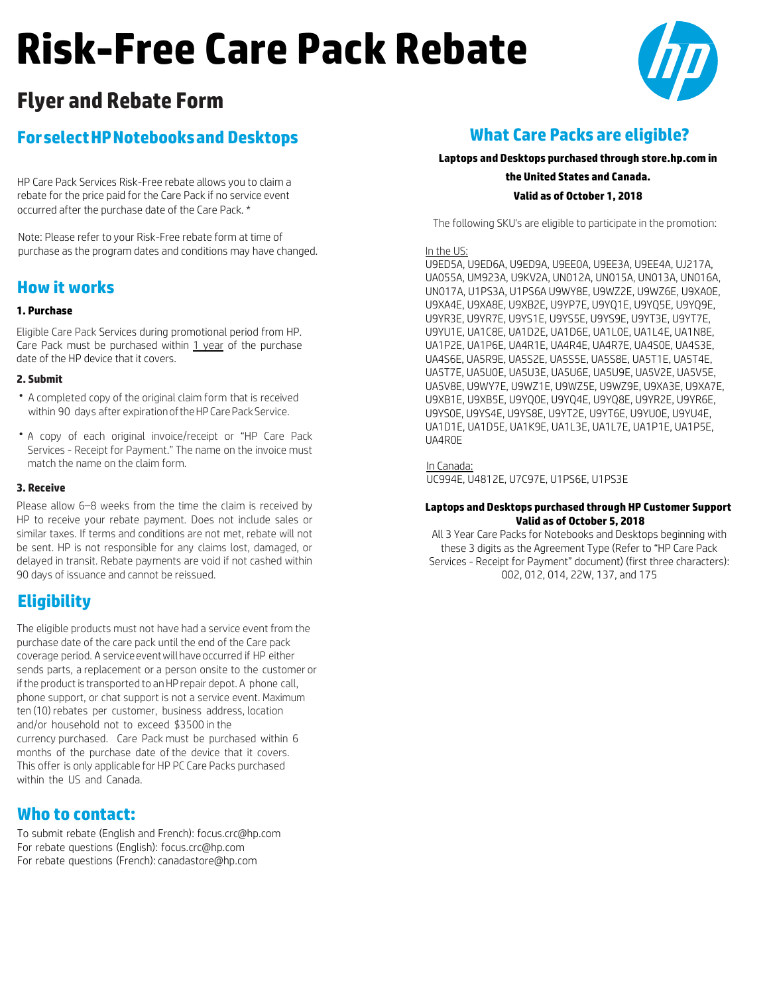# **Risk-Free Care Pack Rebate**



## **Flyer and Rebate Form**

## **ForselectHPNotebooksand Desktops**

HP Care Pack Services Risk-Free rebate allows you to claim a rebate for the price paid for the Care Pack if no service event occurred after the purchase date of the Care Pack. \*

Note: Please refer to your Risk-Free rebate form at time of purchase as the program dates and conditions may have changed.

## **How it works**

### **1. Purchase**

Eligible Care Pack Services during promotional period from HP. Care Pack must be purchased within 1 year of the purchase date of the HP device that it covers.

#### **2. Submit**

- A completed copy of the original claim form that is received within 90 days after expiration of the HP Care Pack Service.
- A copy of each original invoice/receipt or "HP Care Pack Services - Receipt for Payment." The name on the invoice must match the name on the claim form.

#### **3. Receive**

Please allow 6–8 weeks from the time the claim is received by HP to receive your rebate payment. Does not include sales or similar taxes. If terms and conditions are not met, rebate will not be sent. HP is not responsible for any claims lost, damaged, or delayed in transit. Rebate payments are void if not cashed within 90 days of issuance and cannot be reissued.

## **Eligibility**

The eligible products must not have had a service event from the purchase date of the care pack until the end of the Care pack coverage period. A service event will have occurred if HP either sends parts, a replacement or a person onsite to the customer or if the product is transported to an HP repair depot. A phone call, phone support, or chat support is not a service event. Maximum ten (10) rebates per customer, business address, location and/or household not to exceed \$3500 in the currency purchased. Care Pack must be purchased within 6 months of the purchase date of the device that it covers. This offer is only applicable for HP PC Care Packs purchased within the US and Canada.

## **Who to contact:**

To submit rebate (English and French): [focus.crc@hp.com](mailto:focus.crc@hp.com) For rebate questions (English): [focus.crc@hp.com](mailto:focus.crc@hp.com) For rebate questions (French): [canadastore@hp.com](mailto:canadastore@hp.com)

## **What Care Packs are eligible?**

#### **Laptops and Desktops purchased through store.hp.com in**

**the United States and Canada. Valid as of October 1, 2018**

The following SKU's are eligible to participate in the promotion:

#### In the US:

U9ED5A, U9ED6A, U9ED9A, U9EE0A, U9EE3A, U9EE4A, UJ217A, UA055A, UM923A, U9KV2A, UN012A, UN015A, UN013A, UN016A, UN017A, U1PS3A, U1PS6A U9WY8E, U9WZ2E, U9WZ6E, U9XA0E, U9XA4E, U9XA8E, U9XB2E, U9YP7E, U9YQ1E, U9YQ5E, U9YQ9E, U9YR3E, U9YR7E, U9YS1E, U9YS5E, U9YS9E, U9YT3E, U9YT7E, U9YU1E, UA1C8E, UA1D2E, UA1D6E, UA1L0E, UA1L4E, UA1N8E, UA1P2E, UA1P6E, UA4R1E, UA4R4E, UA4R7E, UA4S0E, UA4S3E, UA4S6E, UA5R9E, UA5S2E, UA5S5E, UA5S8E, UA5T1E, UA5T4E, UA5T7E, UA5U0E, UA5U3E, UA5U6E, UA5U9E, UA5V2E, UA5V5E, UA5V8E, U9WY7E, U9WZ1E, U9WZ5E, U9WZ9E, U9XA3E, U9XA7E, U9XB1E, U9XB5E, U9YQ0E, U9YQ4E, U9YQ8E, U9YR2E, U9YR6E, U9YS0E, U9YS4E, U9YS8E, U9YT2E, U9YT6E, U9YU0E, U9YU4E, UA1D1E, UA1D5E, UA1K9E, UA1L3E, UA1L7E, UA1P1E, UA1P5E, UA4R0E

In Canada:

UC994E, U4812E, U7C97E, U1PS6E, U1PS3E

#### **Laptops and Desktops purchased through HP Customer Support Valid as of October 5, 2018**

All 3 Year Care Packs for Notebooks and Desktops beginning with these 3 digits as the Agreement Type (Refer to "HP Care Pack Services - Receipt for Payment" document) (first three characters): 002, 012, 014, 22W, 137, and 175